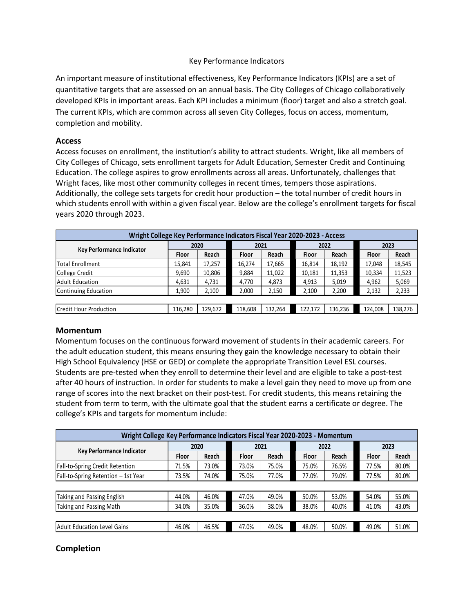### Key Performance Indicators

An important measure of institutional effectiveness, Key Performance Indicators (KPIs) are a set of quantitative targets that are assessed on an annual basis. The City Colleges of Chicago collaboratively developed KPIs in important areas. Each KPI includes a minimum (floor) target and also a stretch goal. The current KPIs, which are common across all seven City Colleges, focus on access, momentum, completion and mobility.

## Access

| developed KPIs in important areas. Each KPI includes a minimum (floor) target and also a stretch goal.                    |                                                                          |         |              |         |         |         |         |         |
|---------------------------------------------------------------------------------------------------------------------------|--------------------------------------------------------------------------|---------|--------------|---------|---------|---------|---------|---------|
| The current KPIs, which are common across all seven City Colleges, focus on access, momentum,<br>completion and mobility. |                                                                          |         |              |         |         |         |         |         |
| <b>Access</b>                                                                                                             |                                                                          |         |              |         |         |         |         |         |
| Access focuses on enrollment, the institution's ability to attract students. Wright, like all members of                  |                                                                          |         |              |         |         |         |         |         |
| City Colleges of Chicago, sets enrollment targets for Adult Education, Semester Credit and Continuing                     |                                                                          |         |              |         |         |         |         |         |
| Education. The college aspires to grow enrollments across all areas. Unfortunately, challenges that                       |                                                                          |         |              |         |         |         |         |         |
| Wright faces, like most other community colleges in recent times, tempers those aspirations.                              |                                                                          |         |              |         |         |         |         |         |
| Additionally, the college sets targets for credit hour production - the total number of credit hours in                   |                                                                          |         |              |         |         |         |         |         |
| which students enroll with within a given fiscal year. Below are the college's enrollment targets for fiscal              |                                                                          |         |              |         |         |         |         |         |
| years 2020 through 2023.                                                                                                  |                                                                          |         |              |         |         |         |         |         |
|                                                                                                                           |                                                                          |         |              |         |         |         |         |         |
|                                                                                                                           | Wright College Key Performance Indicators Fiscal Year 2020-2023 - Access |         |              |         |         |         |         |         |
|                                                                                                                           | 2020<br>2023<br>2021<br>2022<br>Key Performance Indicator                |         |              |         |         |         |         |         |
|                                                                                                                           | Floor                                                                    | Reach   | <b>Floor</b> | Reach   | Floor   | Reach   | Floor   | Reach   |
| <b>Total Enrollment</b>                                                                                                   | 15,841                                                                   | 17,257  | 16,274       | 17,665  | 16,814  | 18,192  | 17,048  | 18,545  |
| College Credit                                                                                                            | 9,690                                                                    | 10,806  | 9,884        | 11,022  | 10,181  | 11,353  | 10,334  | 11,523  |
| <b>Adult Education</b>                                                                                                    | 4,631                                                                    | 4,731   | 4,770        | 4,873   | 4,913   | 5,019   | 4,962   | 5,069   |
| <b>Continuing Education</b>                                                                                               | 1,900                                                                    | 2,100   | 2,000        | 2,150   | 2,100   | 2,200   | 2,132   | 2,233   |
| Credit Hour Production                                                                                                    | 116,280                                                                  | 129,672 | 118,608      | 132,264 | 122,172 | 136,236 | 124,008 | 138,276 |
|                                                                                                                           |                                                                          |         |              |         |         |         |         |         |
| <b>Momentum</b>                                                                                                           |                                                                          |         |              |         |         |         |         |         |
|                                                                                                                           |                                                                          |         |              |         |         |         |         |         |
| Momentum focuses on the continuous forward movement of students in their academic careers. For                            |                                                                          |         |              |         |         |         |         |         |
| the adult education student, this means ensuring they gain the knowledge necessary to obtain their                        |                                                                          |         |              |         |         |         |         |         |
| High School Equivalency (HSE or GED) or complete the appropriate Transition Level ESL courses.                            |                                                                          |         |              |         |         |         |         |         |

### Momentum

| Aduit Education                                                                                         | 4,631                                                                                                      | 4,131   | 4,770   | 4,873   | 4,913   | 5,019   | 4,962   | 5,069   |
|---------------------------------------------------------------------------------------------------------|------------------------------------------------------------------------------------------------------------|---------|---------|---------|---------|---------|---------|---------|
| Continuing Education                                                                                    | 1,900                                                                                                      | 2,100   | 2,000   | 2,150   | 2,100   | 2,200   | 2,132   | 2,233   |
|                                                                                                         |                                                                                                            |         |         |         |         |         |         |         |
| Credit Hour Production                                                                                  | 116,280                                                                                                    | 129,672 | 118,608 | 132,264 | 122,172 | 136,236 | 124,008 | 138,276 |
| <b>Momentum</b>                                                                                         |                                                                                                            |         |         |         |         |         |         |         |
|                                                                                                         |                                                                                                            |         |         |         |         |         |         |         |
| Momentum focuses on the continuous forward movement of students in their academic careers. For          |                                                                                                            |         |         |         |         |         |         |         |
| the adult education student, this means ensuring they gain the knowledge necessary to obtain their      |                                                                                                            |         |         |         |         |         |         |         |
| High School Equivalency (HSE or GED) or complete the appropriate Transition Level ESL courses.          |                                                                                                            |         |         |         |         |         |         |         |
| Students are pre-tested when they enroll to determine their level and are eligible to take a post-test  |                                                                                                            |         |         |         |         |         |         |         |
| after 40 hours of instruction. In order for students to make a level gain they need to move up from one |                                                                                                            |         |         |         |         |         |         |         |
| range of scores into the next bracket on their post-test. For credit students, this means retaining the |                                                                                                            |         |         |         |         |         |         |         |
| student from term to term, with the ultimate goal that the student earns a certificate or degree. The   |                                                                                                            |         |         |         |         |         |         |         |
| college's KPIs and targets for momentum include:                                                        |                                                                                                            |         |         |         |         |         |         |         |
|                                                                                                         |                                                                                                            |         |         |         |         |         |         |         |
|                                                                                                         |                                                                                                            |         |         |         |         |         |         |         |
|                                                                                                         | Wright College Key Performance Indicators Fiscal Year 2020-2023 - Momentum<br>2021<br>2022<br>2023<br>2020 |         |         |         |         |         |         |         |
| <b>Key Performance Indicator</b>                                                                        | Floor                                                                                                      | Reach   | Floor   | Reach   | Floor   | Reach   | Floor   | Reach   |
| Fall-to-Spring Credit Retention                                                                         | 71.5%                                                                                                      | 73.0%   | 73.0%   | 75.0%   | 75.0%   | 76.5%   | 77.5%   | 80.0%   |
| Fall-to-Spring Retention - 1st Year                                                                     | 73.5%                                                                                                      | 74.0%   | 75.0%   | 77.0%   | 77.0%   | 79.0%   | 77.5%   | 80.0%   |
|                                                                                                         |                                                                                                            |         |         |         |         |         |         |         |
| Taking and Passing English                                                                              | 44.0%                                                                                                      | 46.0%   | 47.0%   | 49.0%   | 50.0%   | 53.0%   | 54.0%   | 55.0%   |
| Taking and Passing Math                                                                                 | 34.0%                                                                                                      | 35.0%   | 36.0%   | 38.0%   | 38.0%   | 40.0%   | 41.0%   | 43.0%   |
|                                                                                                         |                                                                                                            |         |         |         |         |         |         |         |
| <b>Adult Education Level Gains</b>                                                                      | 46.0%                                                                                                      | 46.5%   | 47.0%   | 49.0%   | 48.0%   | 50.0%   | 49.0%   | 51.0%   |
|                                                                                                         |                                                                                                            |         |         |         |         |         |         |         |
| <b>Completion</b>                                                                                       |                                                                                                            |         |         |         |         |         |         |         |
|                                                                                                         |                                                                                                            |         |         |         |         |         |         |         |
|                                                                                                         |                                                                                                            |         |         |         |         |         |         |         |
|                                                                                                         |                                                                                                            |         |         |         |         |         |         |         |
|                                                                                                         |                                                                                                            |         |         |         |         |         |         |         |

# Completion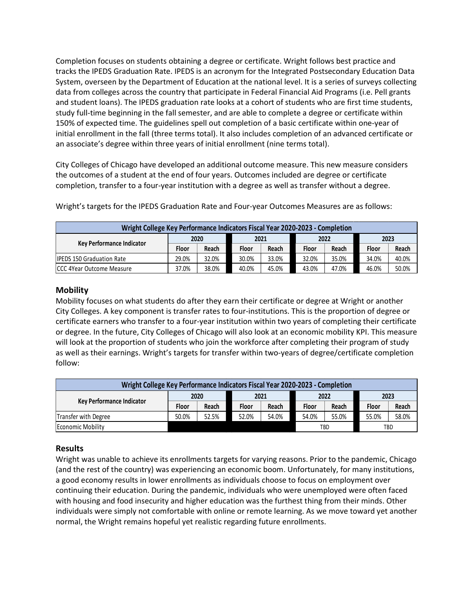Completion focuses on students obtaining a degree or certificate. Wright follows best practice and tracks the IPEDS Graduation Rate. IPEDS is an acronym for the Integrated Postsecondary Education Data System, overseen by the Department of Education at the national level. It is a series of surveys collecting data from colleges across the country that participate in Federal Financial Aid Programs (i.e. Pell grants and student loans). The IPEDS graduation rate looks at a cohort of students who are first time students, study full-time beginning in the fall semester, and are able to complete a degree or certificate within 150% of expected time. The guidelines spell out completion of a basic certificate within one-year of initial enrollment in the fall (three terms total). It also includes completion of an advanced certificate or an associate's degree within three years of initial enrollment (nine terms total). Cystem, overseen by the Department of Education at the national level. It is a series of surveys collecting<br>by stem, overseen by the Department of Education at the national level. It is a series of surveys collecting<br>and s

City Colleges of Chicago have developed an additional outcome measure. This new measure considers the outcomes of a student at the end of four years. Outcomes included are degree or certificate completion, transfer to a four-year institution with a degree as well as transfer without a degree.

| Wright College Key Performance Indicators Fiscal Year 2020-2023 - Completion |       |       |              |       |       |       |       |       |
|------------------------------------------------------------------------------|-------|-------|--------------|-------|-------|-------|-------|-------|
| <b>Kev Performance Indicator</b>                                             |       | 2020  |              | 2021  |       | 2022  | 2023  |       |
|                                                                              | Floor | Reach | <b>Floor</b> | Reach | Floor | Reach | Floor | Reach |
| <b>IPEDS 150 Graduation Rate</b>                                             | 29.0% | 32.0% | 30.0%        | 33.0% | 32.0% | 35.0% | 34.0% | 40.0% |
| <b>CCC 4Year Outcome Measure</b>                                             | 37.0% | 38.0% | 40.0%        | 45.0% | 43.0% | 47.0% | 46.0% | 50.0% |

Wright's targets for the IPEDS Graduation Rate and Four-year Outcomes Measures are as follows:

### **Mobility**

Mobility focuses on what students do after they earn their certificate or degree at Wright or another City Colleges. A key component is transfer rates to four-institutions. This is the proportion of degree or certificate earners who transfer to a four-year institution within two years of completing their certificate or degree. In the future, City Colleges of Chicago will also look at an economic mobility KPI. This measure will look at the proportion of students who join the workforce after completing their program of study as well as their earnings. Wright's targets for transfer within two-years of degree/certificate completion follow:

| Wright College Key Performance Indicators Fiscal Year 2020-2023 - Completion |       |       |       |       |       |       |       |       |
|------------------------------------------------------------------------------|-------|-------|-------|-------|-------|-------|-------|-------|
| Key Performance Indicator                                                    |       | 2020  |       | 2021  |       | 2022  | 2023  |       |
|                                                                              | Floor | Reach | Floor | Reach | Floor | Reach | Floor | Reach |
| Transfer with Degree                                                         | 50.0% | 52.5% | 52.0% | 54.0% | 54.0% | 55.0% | 55.0% | 58.0% |
| Economic Mobility                                                            |       |       |       |       |       | TBD   | TBD   |       |

## Results

Wright was unable to achieve its enrollments targets for varying reasons. Prior to the pandemic, Chicago (and the rest of the country) was experiencing an economic boom. Unfortunately, for many institutions, a good economy results in lower enrollments as individuals choose to focus on employment over continuing their education. During the pandemic, individuals who were unemployed were often faced with housing and food insecurity and higher education was the furthest thing from their minds. Other individuals were simply not comfortable with online or remote learning. As we move toward yet another normal, the Wright remains hopeful yet realistic regarding future enrollments.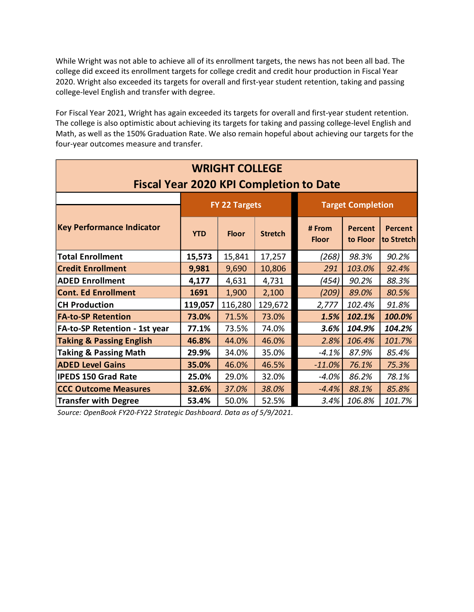| While Wright was not able to achieve all of its enrollment targets, the news has not been all bad. The<br>college did exceed its enrollment targets for college credit and credit hour production in Fiscal Year<br>2020. Wright also exceeded its targets for overall and first-year student retention, taking and passing<br>college-level English and transfer with degree. |            |                       |                |                                                |                            |                       |  |  |
|--------------------------------------------------------------------------------------------------------------------------------------------------------------------------------------------------------------------------------------------------------------------------------------------------------------------------------------------------------------------------------|------------|-----------------------|----------------|------------------------------------------------|----------------------------|-----------------------|--|--|
| For Fiscal Year 2021, Wright has again exceeded its targets for overall and first-year student retention.<br>The college is also optimistic about achieving its targets for taking and passing college-level English and<br>Math, as well as the 150% Graduation Rate. We also remain hopeful about achieving our targets for the<br>four-year outcomes measure and transfer.  |            |                       |                |                                                |                            |                       |  |  |
|                                                                                                                                                                                                                                                                                                                                                                                |            | <b>WRIGHT COLLEGE</b> |                | <b>Fiscal Year 2020 KPI Completion to Date</b> |                            |                       |  |  |
|                                                                                                                                                                                                                                                                                                                                                                                |            | FY 22 Targets         |                | <b>Target Completion</b>                       |                            |                       |  |  |
| <b>Key Performance Indicator</b>                                                                                                                                                                                                                                                                                                                                               | <b>YTD</b> | <b>Floor</b>          | <b>Stretch</b> | # From<br><b>Floor</b>                         | <b>Percent</b><br>to Floor | Percent<br>to Stretch |  |  |
| <b>Total Enrollment</b>                                                                                                                                                                                                                                                                                                                                                        | 15,573     | 15,841                | 17,257         | (268)                                          | 98.3%                      | 90.2%                 |  |  |
| <b>Credit Enrollment</b>                                                                                                                                                                                                                                                                                                                                                       | 9,981      | 9,690                 | 10,806         | 291                                            | 103.0%                     | 92.4%                 |  |  |
| <b>ADED Enrollment</b>                                                                                                                                                                                                                                                                                                                                                         | 4,177      | 4,631                 | 4,731          | (454)                                          | 90.2%                      | 88.3%                 |  |  |
| <b>Cont. Ed Enrollment</b>                                                                                                                                                                                                                                                                                                                                                     | 1691       | 1,900                 | 2,100          | (209)                                          | 89.0%                      | 80.5%                 |  |  |
| <b>CH Production</b>                                                                                                                                                                                                                                                                                                                                                           | 119,057    | 116,280               | 129,672        | 2,777                                          | 102.4%                     | 91.8%                 |  |  |
| <b>FA-to-SP Retention</b>                                                                                                                                                                                                                                                                                                                                                      | 73.0%      | 71.5%                 | 73.0%          | 1.5%                                           | 102.1%                     | 100.0%                |  |  |
| <b>FA-to-SP Retention - 1st year</b>                                                                                                                                                                                                                                                                                                                                           | 77.1%      | 73.5%                 | 74.0%          | 3.6%                                           | 104.9%                     | 104.2%                |  |  |
| <b>Taking &amp; Passing English</b>                                                                                                                                                                                                                                                                                                                                            | 46.8%      | 44.0%                 | 46.0%          | 2.8%                                           | 106.4%                     | 101.7%                |  |  |
| <b>Taking &amp; Passing Math</b>                                                                                                                                                                                                                                                                                                                                               | 29.9%      | 34.0%                 | 35.0%          | $-4.1%$                                        | 87.9%                      | 85.4%                 |  |  |
|                                                                                                                                                                                                                                                                                                                                                                                | 35.0%      | 46.0%                 | 46.5%          | $-11.0\%$                                      | 76.1%                      | 75.3%                 |  |  |
| <b>ADED Level Gains</b>                                                                                                                                                                                                                                                                                                                                                        |            | 29.0%                 | 32.0%          | $-4.0%$                                        | 86.2%                      | 78.1%                 |  |  |
| <b>IPEDS 150 Grad Rate</b>                                                                                                                                                                                                                                                                                                                                                     | 25.0%      |                       |                |                                                | 88.1%                      | 85.8%                 |  |  |
| <b>CCC Outcome Measures</b>                                                                                                                                                                                                                                                                                                                                                    | 32.6%      | 37.0%                 | 38.0%          | $-4.4%$                                        |                            |                       |  |  |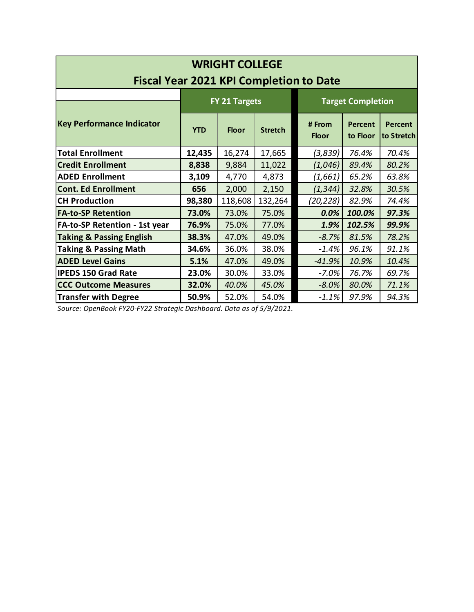|                                      |            | <b>WRIGHT COLLEGE</b> |                |                                                |                          |                       |  |  |  |
|--------------------------------------|------------|-----------------------|----------------|------------------------------------------------|--------------------------|-----------------------|--|--|--|
|                                      |            |                       |                | <b>Fiscal Year 2021 KPI Completion to Date</b> |                          |                       |  |  |  |
|                                      |            | FY 21 Targets         |                |                                                | <b>Target Completion</b> |                       |  |  |  |
| <b>Key Performance Indicator</b>     | <b>YTD</b> | <b>Floor</b>          | <b>Stretch</b> | # From<br><b>Floor</b>                         | Percent<br>to Floor      | Percent<br>to Stretch |  |  |  |
| <b>Total Enrollment</b>              | 12,435     | 16,274                | 17,665         | (3,839)                                        | 76.4%                    | 70.4%                 |  |  |  |
| <b>Credit Enrollment</b>             | 8,838      | 9,884                 | 11,022         | (1,046)                                        | 89.4%                    | 80.2%                 |  |  |  |
| <b>ADED Enrollment</b>               | 3,109      | 4,770                 | 4,873          | (1,661)                                        | 65.2%                    | 63.8%                 |  |  |  |
| Cont. Ed Enrollment                  | 656        | 2,000                 | 2,150          | (1, 344)                                       | 32.8%                    | 30.5%                 |  |  |  |
| <b>CH Production</b>                 | 98,380     | 118,608               | 132,264        | (20,228)                                       | 82.9%                    | 74.4%                 |  |  |  |
| <b>FA-to-SP Retention</b>            | 73.0%      | 73.0%                 | 75.0%          | 0.0%                                           | 100.0%                   | 97.3%                 |  |  |  |
| <b>FA-to-SP Retention - 1st year</b> | 76.9%      | 75.0%                 | 77.0%          | 1.9%                                           | 102.5%                   | 99.9%                 |  |  |  |
| <b>Taking &amp; Passing English</b>  | 38.3%      | 47.0%                 | 49.0%          | $-8.7\%$                                       | 81.5%                    | 78.2%                 |  |  |  |
| Taking & Passing Math                | 34.6%      | 36.0%                 | 38.0%          | $-1.4%$                                        | 96.1%                    | 91.1%                 |  |  |  |
| <b>ADED Level Gains</b>              | 5.1%       | 47.0%                 | 49.0%          | $-41.9%$                                       | 10.9%                    | 10.4%                 |  |  |  |
| IPEDS 150 Grad Rate                  | 23.0%      | 30.0%                 | 33.0%          | $-7.0%$                                        | 76.7%                    | 69.7%                 |  |  |  |
| <b>CCC Outcome Measures</b>          | 32.0%      | 40.0%                 | 45.0%          | $-8.0\%$                                       | 80.0%                    | 71.1%                 |  |  |  |
| <b>Transfer with Degree</b>          | 50.9%      | 52.0%                 | 54.0%          | $-1.1\%$                                       | 97.9%                    | 94.3%                 |  |  |  |